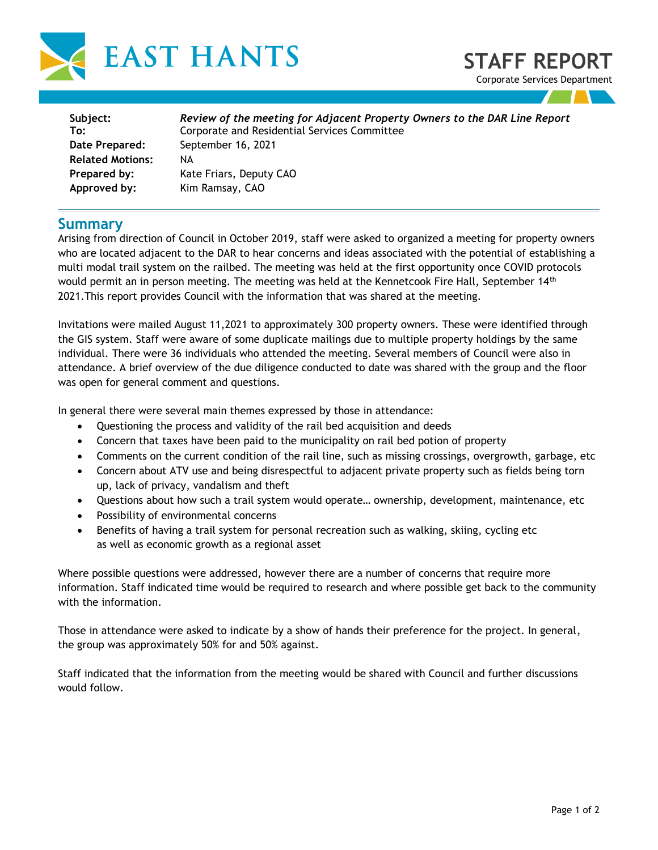



| Subject:                | Review of the meeting for Adjacent Property Owners to the DAR Line Report |
|-------------------------|---------------------------------------------------------------------------|
| To:                     | Corporate and Residential Services Committee                              |
| Date Prepared:          | September 16, 2021                                                        |
| <b>Related Motions:</b> | NА                                                                        |
| Prepared by:            | Kate Friars, Deputy CAO                                                   |
| Approved by:            | Kim Ramsay, CAO                                                           |
|                         |                                                                           |

## **Summary**

Arising from direction of Council in October 2019, staff were asked to organized a meeting for property owners who are located adjacent to the DAR to hear concerns and ideas associated with the potential of establishing a multi modal trail system on the railbed. The meeting was held at the first opportunity once COVID protocols would permit an in person meeting. The meeting was held at the Kennetcook Fire Hall, September 14<sup>th</sup> 2021.This report provides Council with the information that was shared at the meeting.

Invitations were mailed August 11,2021 to approximately 300 property owners. These were identified through the GIS system. Staff were aware of some duplicate mailings due to multiple property holdings by the same individual. There were 36 individuals who attended the meeting. Several members of Council were also in attendance. A brief overview of the due diligence conducted to date was shared with the group and the floor was open for general comment and questions.

In general there were several main themes expressed by those in attendance:

- Questioning the process and validity of the rail bed acquisition and deeds
- Concern that taxes have been paid to the municipality on rail bed potion of property
- Comments on the current condition of the rail line, such as missing crossings, overgrowth, garbage, etc
- Concern about ATV use and being disrespectful to adjacent private property such as fields being torn up, lack of privacy, vandalism and theft
- Questions about how such a trail system would operate… ownership, development, maintenance, etc
- Possibility of environmental concerns
- Benefits of having a trail system for personal recreation such as walking, skiing, cycling etc as well as economic growth as a regional asset

Where possible questions were addressed, however there are a number of concerns that require more information. Staff indicated time would be required to research and where possible get back to the community with the information.

Those in attendance were asked to indicate by a show of hands their preference for the project. In general, the group was approximately 50% for and 50% against.

Staff indicated that the information from the meeting would be shared with Council and further discussions would follow.